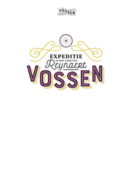VOSSEN

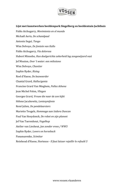

# **Lijst met kunstwerken beeldenpark Singelberg en beeldentuin Jachthuis**

Pablo Atchugarry, *Movimiento en el mundo* Michaël Aerts, *De schandpaal* Antonio Seguí, *Tango* Wim Delvoye, *De fontein van Kallo* Pablo Atchugarry, *Via dolorosa* Hubert Minnebo, *Hun doelgerichte zekerheid lag zongewijzerd vast* Jef Mouton, *Over 't water: een milestone* Wim Delvoye, *Chantier* Sophie Ryder, *Rising* Roel d'Haese, *De bezweerder* Chantal Grard, *Hallucigenia* Francine Grard Van Mieghem, *Pallas Athena* Jean Michel Folon, *Vliegen*  Georges Grard, *Vrouw die naar de zon kijkt* Hélene Jacubowitz, *Lentesymfonie* René Julien, *De pendelaarsters* Mariette Teugels, *Hommage aan Isidora Duncan* Paul Van Hoeydonck, *De robot en zijn planeet* Jef Van Tuerenhout, *Vogelkop*  Atelier van Lieshout, *Jan zonder vrees / WW3* Sophie Ryder, *Lovers on horseback* Panamarenko, *Scimitar*  Reinhoud d'Haese, Hortense *- Il faut laisser rejaillir le refoulé 3*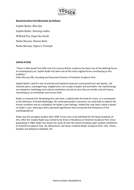

## **Kunstwerken beeldentuin Jachthuis**

Sophie Ryder, *Blue Eye* Sophie Ryder, *Dancing Ladies* Wilfried Pas, *Engel des doods*  Nadia Naveau, *Roman Riots*  Nadia Naveau, *Figaro's Triumph*

### **SOPHIE RYDER**

"There is little doubt that 20th and 21st century British sculpture has been one of the defining forces of contemporary art. Sophie Ryder has been one of the most original forces contributing to this tradition."

Peter Murray CBE, Founding and Executive Director of Yorkshire Sculpture Park

Sophie Ryder's world is one of animals and mystical creatures constructed from wet plaster, old machine parts, scavenged toys, tangled wire, torn scraps of paper and acid baths. Her hybrid beings are steeped in mythology and cultural symbolism and yet at once they are tender and self-aware, resonating on an immediate and human level.

Ryder is renowned for developing the Lady Hare, a hybrid with the head of a hare, as a counterpart to the Minotaur of Greek Mythology. Her anthropomorphic characters are used both to explore the human condition and as a metaphor for Ryder's own feelings. Indeed the Lady Hare's body is based on Ryder's own, imbuing it with a personal significance that transcends the limitations of the autobiographical.

Ryder was the youngest student after JMW Turner ever to be admitted for the Royal Academy of Arts. After her studies Ryder was invited to be Artist in Residence at Yorkshire Sculpture Park. Since graduating in 1986, Ryder has shown her work all over the world including major outdoor exhibitions at Yorkshire Sculpture Park, UK; Blickachsen, Germany; Frederik Meijer Sculpture Park, USA; Pilane, Sweden and Salisbury Cathedral, UK.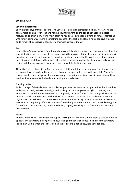

## **SOPHIE RYDER**

### **Lovers on Horseback**

Sophie Ryder says of this sculpture: 'The Lovers sit in quiet contemplation, The Minotaur's hands gently resting on his lover's leg and his chin lovingly resting on the top of her head.The Horse features quite often in my work. Most often he has one or two people sitting on him or interacting with him in some way. There is something about the friendship and love a horse can give which is quite remarkable, especially considering their size compared to us'.

### **Eye**

Sophie Ryder's 'wire drawings' are three-dimensional sketches in space. Her series of works depicting surreal floating eyes are especially intriguing. With the passage of time, Ryder has instilled in her wire drawings an ever higher degree of technical and stylistic complexity. Her control over the medium is now absolute. Sculptures in their own right, installed against an open sky, they masterfully use wire as line and shading to achieve a mesmerising end with fantastic illusory power.

The artist's piece, simply titled Eye, presents a realistic rendition of the human eye as though it were a charcoal illustration ripped from a sketchbook and suspended in the middle of a field. The artist's chosen medium and design aesthetic leave many holes in the sculptural work to seem almost like a window. It complements the landscape, adding a surreal effect.

### **Dancing Ladies**

Ryder's image of the Lady Hare has subtly changed over the years. Once upon a time, her hares head and woman's body were seamlessly joined, making her into a mysterious hybrid creature, not entirely of this world but nevertheless not completely separate from it. Now, though, she wears the head as a mask that hides her face but shows that beneath she is actually a real woman, not the mythical creature she once seemed. Ryder's work continues its exploration of the female psyche and sexuality and frequently references the artist's own body as it morphs with the powerful energy and form of the hare. The Dancing Ladies are dancing happily, revelling in the freedom their hare masks provide them.

## **Rising**

Ryder is probably best known for her huge wire sculptures. They are simultaneously transparent and opaque. The Lady Hare is lifting herself up, arching her back as she does so. The second Lady Hare inside, only visible when the light is behind the sculpture is not a baby, it is her alter ego.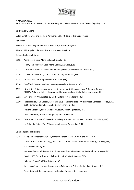

#### **NADIA NAVEAU**

*Text from BASE-ALPHA GALLERY I Kattenberg 12 I B-2140 Antwerp I www.basealphagallery.com*

#### CURRICULUM VITAE

Belgium, °1975 Lives and works in Antwerp and Saint-Bonnet-Tronçais, France

Education

1999 – 2001 HISK, Higher Institute of Fine Arts, Antwerp, Belgium

1994 – 1998 Royal Academy of fine Arts, Antwerp, Belgium.

#### Selected solo exhibitions

- 2018 Art-Brussels, Base-Alpha Gallery, Brussels, (BE) 'Funny Five Minutes', Base-Alpha Gallery, Antwerp, (BE)
- 2017 'I presume', Nadia Naveau and Remy Jungerman, Galerie Sanaa, Utrecht,(NL)
- 2016 'I Spy with my little eye', Base-Alpha Gallery, Antwerp, (BE)
- 2015 Art-Brussels, Base-Alpha Gallery, Brussels, (BE)
- 2014 'Deaf Ted, Danoota and me', Base-Alpha Gallery, Antwerp, (BE)
- 2012 'New Art in Antwerp', center for contemporary artistic expressions, A Random Sample', M HKA, Antwerp, (BE), 'Be prepared Bunnykins', Base-Alpha Gallery, Antwerp, (BE)
- 2011 'Art Fort/Fort Art', curated by Mark Ruyters, fort V Edegem, (BE)
- 2010 'Nadia Naveau', De Garage, Mechelen (BE) 'The Hermitage', Artist Retreat, Sarasota, Florida, (USA) 2009 'Centurion City', Base-Alpha Gallery, Antwerp (BE)

'Beyond Baroque', SM's, Stedelijk Museum, 's-Hertogenbosch, (NL)

'Joker's Market', Annahakkensgallery, Amsterdam, (NL)

2008 'Aux Armes Et Caetera', Base-Alpha Gallery, Antwerp (BE) 'Line-art', Base-Alpha Gallery, (BE) 'Le Salon du Plaisir', Van Wijngaarden/Hakkens, Amsterdam (NL)

#### Selected group exhibitions

2018 'Sanguine, Bloedrood', Luc Tuymans ON Baroque, M HKA, Antwerp (BE) 2017 '10 Years Base-Alpha Gallery // Part I: Artists of the Gallery', Base-Alpha Gallery, Antwerp, (BE) 'Façade Middelburg,(NL) 'Between Earth and Heaven II, A tribute to Willy Van Den Bussche', De Lombard, Brugges,(BE) 'Bastion 10', Groupshow in collaboration with S.M.A.K, Menen, (BE) 'Bilboard Project', KASKA, Antwerp, (BE) 'Le temps d'une chanson. (En dansant la Belgonaise)',Belgonaise building, Brussels,(BE) Presentation at the residence of the Belgian Embassy, Den Haag,(NL)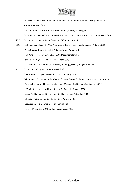

'Het Wilde Westen van Buffalo Bill tot Bobbejaan' De Warande/Venetiaanse gaanderijen, Turnhout/Ostend, (BE) 'Kunst Als Erekleed-The Emperors New Clothes', KASKA, Antwerp, (BE) 'No Modular No More', Vierkante Zaal, Sint Niklaas, (BE) 'Art's Birthday',M HKA, Antwerp, (BE) 2017 'Duikboot', curated by Sergio Servellon, KASKA, Antwerp, (BE) 2016 '11 Kunstenaars Tegen De Muur', curated by Lieven Segers, public space of Antwerp,(BE) 'Wake Up And Dream, Etage 22, Antwerp Tower, Antwerp,(BE) 'Ten Dans', curated by Lieven Segers, CC Maasmechelen,(BE) London-Art Fair, Base-Alpha Gallery, London,(UK) 'De Modernen,Uitverkoren', Fabiolazaal, Antwerp,(BE) IKO, Hoogstraten, (BE) 2015 '@Yourservice', Egmontpaleis, Brussels,(BE) 'Teardrops In My Eyes', Base-Apha Gallery, Antwerp,(BE) 'Blickachsen 10', curated by Sara Weyns &Lieven Segers, Sculptuurbiënnale, Bad Homburg,(D) 'Vormidable', curated by Stef Van Bellingen Museum Beelden aan Zee, Den Haag,(NL) '120 Minutes' curated by Lieven Segers, Art Brussels, Brussels, (BE) 'Above Reality', curated by Hans van der Ham, Garage Rotterdam (NL) 'A Belgian Politician', Marion De Cannière, Antwerp, (BE) 'Occupied Emotions', Broelmuseum, Kortrijk, (BE) 'Little Hisk', curated by Ulli Lindmayr, Antwerpen (BE)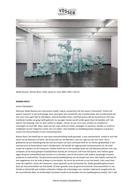

Nadia Naveau, Roman Riots, 2010, epoxy en staal, 800 x 280 x 150 cm

#### **ROMAN RIOTS**

#### *Jeroen Olyslaegers*

Wanneer Nadia Naveau een monument maakt, mag je verwachten dat het woord 'monument' immer het woord 'moment' in zijn buik draagt. Haar werk gaat wat mij betreft over transformatie, een transformatie die zich voor onze ogen lijkt te voltrekken, alsof de beelden leven, alsof het proces dat de kunstenares met haar knedende handen op gang heeft gebracht nu op eigen houtje wordt verder gezet door de beelden zelf. Het ademt, het beweegt. Hier en daar stollen er dingen, nemen ze een vorm aan, worden ze receptief en ontvangen ze onze blik. Maar zodra we een stap achteruit zetten, bewegen ze opnieuw; worden ze actief en ontglippen op een magische manier aan ons kijken. Haar beelden en beeldengroepen slingeren zo gracieus tussen het monumentale en een momentopname.

Roman Riots, het beeld dat ze voor deze tentoonstelling heeft gemaakt, is een meesterwerk, omdat ze zich hier meet met de Meesters of beter: de restauratie van de Meesters, wat ons nog rest van hun werk. Het is gebaseerd op een beeldengroep die ooit de tempel van Zeus verfraaid heeft en nu slechts gedeeltelijk in een reconstructie te bewonderen valt in Griekenland. Het beeldt de zogenaamde Centauromachie af, de strijd tussen de Lapithen en de Centauren. Ovidius heeft het in het twaalfde boek van zijn Metamorphosen over een compleet uit de hand gelopen huwelijksfeest waarbij de Centauren, half man half paard, niet meteen goed tegen de grote hoeveelheid wijn kunnen en in dronken razernij de bruid en alle andere aanwezige vrouwen proberen te verkrachten. De gereconstrueerde beeldengroep van de tempel van Zeus stelt Apollo centraal die met opgeheven arm de orde probeert te herstellen. Hij vormt de verticale as van het beeld. Links naast hem staan de Lapithen, rechts de Centauren, samen geschikt op de horizontale lijn. Nadia geraakte gefascineerd door de monumentaliteit van het beeld, of beter gesteld: door de gereconstrueerde monumentaliteit er van. Omdat er behoorlijk wat stukken ontbreken hebben de archeologen een metalen raderwerk aangebracht die de verschillende delen en brokstukken bij elkaar houdt en de beelden tot een beeldengroep smeedt. Het is dat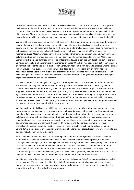

raderwerk dat ook Roman Riots structureert terwijl elk beeld van dit monument verwijst naar de originele beeldengroep. Hier wordt de structuur de sokkel en bepaalt op die manier het spel van vormen en lijnen. Ovalen en cirkels worden er aan toegevoegd en zo wordt het organische met het strakke afgewisseld. Nadia blijkt deze geërfde structuur te gebruiken om haar eigen beeldentaal te vervolmaken. We zien het voor onze ogen gebeuren, twijfelend en kantelend tussen moment en perspectief, tussen traditie en eigenzinnigheid.

Van bij het begin introduceert de kunstenares hierbij een reflectie over monumentaliteit en over de traditie en haar mythen en wat ons daar nog van rest. In tijden waar elke geschiedenis als een reconstructie wordt beschouwd en waar de godenwereld en de mythen van de Oude Grieken ogenschijnlijk geen rol meer spelen is dat op zich al een fascinerend statement. In zekere zin is het werk van de romein Ovidius ook al een reconstructie. Zijn Metamorphosen vervlechten zich met de traditie van de Grieken en ze vormen een van onze belangrijkste bronnen over een denken dat al in de tijd van de Romeinen begon te vervagen. Maar ook de Centauromachie als beeldengroep lijkt met de ordebrengende Apollo een ode aan de rationaliteit te brengen, verheven boven al die fabeldieren, die dronkenschap en chaos. Misschien was dat dus ook dat al een terugblik, en verwijst de horizontale as met al die bezopen Centauren naar de tijd van de 'white goddess' waar de dichter Robert Graves zoveel over geschreven heeft, de tijd 'toen de dieren nog spraken', en vormt het op de horizontale as met Apollo in het midden een triomf van de nieuwe periode waar ratio en logica uittorenen boven het gewemel van al dat irrationele beesten. Misschien bestaat elk omgaan met de traditie van bij het begin wel uit reconstructie en transformatie.

Dat lijkt Nadia Naveau in ieder geval te suggereren. Haar Apollo heeft een motorhelm op, klaar om met een Formule 1-wagen weg te scheuren als een moderne gladiator. De sokkel onder Apollo wordt bij haar de voorkant van een ouderwetse Rolls Royce die dan tijdens het werkproces verder is getransformeerd. Rechts krijgt een centaur een ouderwetse duikhelm op en brengt zo bij deze schrijver Jules Verne in herinnering met zijn 20.000 mijlen onder zee. En in het midden van de linkerkant zien we cartoonfiguur Popeye, de Heracles of Hercules uit de twintigste eeuw, die bij het boetseren zelf uit de materie is gekomen, zichzelf bij wijze van spreken geboetseerd heeft, zichzelf opdringt. Strijd en avontuur worden afgebeeld, brood en spelen, een meer 'Romeinse' kijk op de Griekse oudheid. A real 'roman riot'.

Wie het werk van Nadia Naveau kent kijkt niet meer verbaasd op bij het vloeiend samengaan tussen 'klassieke' motieven en cartoonbeelden. In haar oeuvre wemelen Marge Simpson, geile cowgirls, de Kerstman uit een oude Coca Cola-advertentie en andere fabeldieren uit de mediacultuur. Maar hier krijgen ze nog een diepere betekenis; ze meten zich niet alleen met de Oudheid, maar laten zich transformeren en vertalen in een eindeloze loop. In een zekere zin vormen ze resten van het klassieke Griekenland, als visuele oprispingen van een ver maar misschien wel permanent onverwerkt verleden, iets dat komt spoken wanneer je een archeologisch museum bezoekt of Ovidius leest. Ze zijn geen cynische reflectie op de dolle, permanent versnelde tijd die de onze is en ze vormen evenmin een of andere milde satire. Ik zie vooral levensvreugde, een ode aan het scheppen en de verbeelding.

En de kleur van Roman Riots maakt het feest compleet. Nadia kan behoorlijk onverschrokken zijn in haar kleurkeuze. Zij is de enige beeldhouwer van wiens werk ik in mijn buik zou willen opslaan, die mij doet verlangen naar snoepgoed, taarten en nog meer zoetheid. Wat zij hier met kleur teweeg brengt roept andere sensaties op. Wit aan de voorkant, hemelblauw aan de achterkant. Dit werk zal zinderen in de zon. Het is Griekenland in zekere zin; maar dan als een collectieve hallucinatie. Het onderscheid tussen voor- en achterkant mag misschien als een knipoog gelden naar sensuele dagdromen, naar een Zuid-Europa waar witte beelden tot leven komen in een zinderende hitte, onder een permanent en keihard blauw.

Wie hier naar kijkt riskeert een trip door tijd en ruimte, een tijd waar de (fabel)dieren nog spraken en beelden levend werden. Wie hier naar kijkt blijft kijken, beleeft het moment, hoopt misschien dat er een nieuwe mythische transformatie voor zijn of haar eigen ogen voltrekt. Wie naar dit monument kijkt, maar dan écht goed kijkt, wordt misschien wel zelf getransformeerd.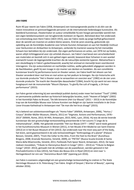

### **JAN FABRE**

Ruim 40 jaar neemt Jan Fabre (1958, Antwerpen) een toonaangevende positie in als één van de meest innovatieve en grensverleggende personen uit de internationale hedendaagse kunstscène. Als beeldend kunstenaar, theatermaker en auteur ontwikkelde hij een hoogst persoonlijke wereld met een eigen betekenissysteem van terugkerende motieven en figuren. Beïnvloed door het onderzoek van entomoloog Jean-Henri Fabre (1823-1915), was Jan Fabre reeds op jonge leeftijd gefascineerd door de wereld van insecten en andere kleine wezens. Eind de jaren zeventig, gedurende zijn opleiding aan de Koninklijke Academie voor Schone Kunsten Antwerpen en aan het Stedelijk Instituut voor Sierkunsten en Ambachten te Antwerpen, verkende hij manieren waarop hij het menselijke lichaam kon betrekken bij zijn onderzoek. Zijn eigen performances en acties, van 1976 tot op heden, waren altijd richtinggevend voor zijn artistiek discours. Jan Fabre's taal bevat een verscheidenheid aan materialen en bevindt zich in een geheel eigen wereld, bewoond door lichamen in een wankel evenwicht tussen de tegengestelde krachten die de natuurlijke existentie typeren. Metamorfose is een sleutelbegrip in Fabre's gedachtewereld, waarbij het animaal en menselijk leven voortdurend interageren. Via zijn auteursteksten en nachtelijke notities, welke gebundeld uitgegeven worden in de Nachtboeken, geeft hij een inzage in zijn manier van denken en handelen. Als een consiliëntie kunstenaar bracht hij performance kunst en theater samen. Jan Fabre heeft het idioom van het theater veranderd door real time en real action op het podium te brengen. Na zijn historische acht uur durende productie "Het is theater zoals te verwachten en voorzien was" (1982) en de vier uren durende productie "De macht der theaterlijke dwaasheden"(1984), bracht hij zijn werk tot een nieuw hoogtepunt met de monumentale "Mount Olympus. To glorify the cult of tragedy, a 24-hour performance" (2015).

Jan Fabre geniet erkenning bij een wereldwijd publiek dankzij onder meer het kasteel "Tivoli" (1990) en permanente publieke werken op historisch belangrijke locaties, zoals "Heaven of Delight" (2002) in het Koninklijk Paleis te Brussel, "De blik binnenin (Het Uur Blauw)" (2011 – 2013) in de Koninklijke trap van de Koninklijke Musea voor Schone Kunsten van België en zijn laatste installatie in de Onze-Lieve-Vrouwe Kathedraal in Antwerpen met "De man die het kruis draagt" (2015).

Hij is bekend van solotentoonstellingen als "Homo Faber" (KMSKA, Antwerpen, 2006), "Hortus / Corpus" (Kröller-Müller Museum, Otterlo, 2011) en "Stigmata. Actions and Performances, 1976– 2013" (MAXXI, Rome, 2013; M HKA, Antwerpen, 2015; MAC, Lyon, 2016). Hij was de eerste levende kunstenaar die een grootschalige tentoonstelling presenteerde in het Louvre ("L'ange de la métamorphose", 2008). Het gekende ensemble "Het Uur Blauw (1977 – 1992)" werd reeds getoond in het Kunsthistorisches Museum in Wenen (2011), in het Musée d'Art Moderne van Saint-Etienne (2012) en in het Busan Museum of Art (2013). Zijn onderzoek naar the most sexy part of the body, het brein, werd gepresenteerd in de solo tentoonstellingen "Anthropology of a planet" (Palazzo Benzon, Venetië, 2007), "From the Cellar to the Attic, From the Feet to the Brain" (Kunsthaus Bregenz, 2008; Arsenale Novissimo, Venetië, 2009), en "PIETAS" (Nuova Scuola Grande di Santa Maria della Misericordia, Venetië, 2011; Parkloods Park Spoor Noord, Antwerpen, 2012). De twee reeksen mozaïeken, "Tribute to Hieronymus Bosch in Congo" (2011 – 2013) en "Tribute to Belgian Congo" (2010– 2013), gemaakt met de schildjes van de juweelkever, werden getoond in het PinchukArtCentre in Kiev (2013), het Palais des Beaux-Arts in Rijsel (2013) en reist naar 's-Hertogenbosch ter ere van "Jheronimus Bosch 500" (opening juni 2016).

Jan Fabre is eveneens uitgenodigd om een grootschalige tentoonstelling te creëren in The State Hermitage Museum in St. Petersburg ("Jan Fabre. Knight of Despair / Warrior of Beauty", opening oktober 2016).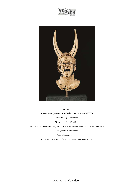



Jan Fabre :

Hoofdstuk IV (brons) (2010) (Reeks : Hoofdstukken I-XVIII)

Materiaal : gepolijst brons

Afmetingen : 64 x 25 x 27 cm

Installatiezicht : Jan Fabre. Chapitres I-XVIII. Cires & Bronzes (14 Maa 2010 - 2 Mei 2010)

Fotograaf : Pat Verbruggen

Copyright : Angelos bvba

Notitie werk : Courtesy Galerie Guy Pieters, Sint-Martens-Latem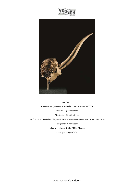



Jan Fabre : Hoofdstuk IX (brons) (2010) (Reeks : Hoofdstukken I-XVIII) Materiaal : gepolijst brons Afmetingen : 78 x 29 x 74 cm Installatiezicht : Jan Fabre. Chapitres I-XVIII. Cires & Bronzes (14 Maa 2010 - 2 Mei 2010) Fotograaf : Pat Verbruggen Collectie : Collectie Kröller-Müller Museum

Copyright : Angelos bvba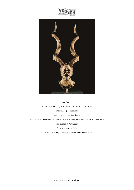



Jan Fabre : Hoofdstuk X (brons) (2010) (Reeks : Hoofdstukken I-XVIII) Materiaal : gepolijst brons Afmetingen : 116 x 53 x 64 cm Installatiezicht : Jan Fabre. Chapitres I-XVIII. Cires & Bronzes (14 Maa 2010 - 2 Mei 2010) Fotograaf : Pat Verbruggen Copyright : Angelos bvba

Notitie werk : Courtesy Galerie Guy Pieters, Sint-Martens-Latem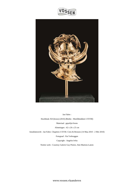



Jan Fabre :

Hoofdstuk XII (brons) (2010) (Reeks : Hoofdstukken I-XVIII)

Materiaal : gepolijst brons

Afmetingen : 42 x 26 x 25 cm

Installatiezicht : Jan Fabre. Chapitres I-XVIII. Cires & Bronzes (14 Maa 2010 - 2 Mei 2010)

Fotograaf : Pat Verbruggen

Copyright : Angelos bvba

Notitie werk : Courtesy Galerie Guy Pieters, Sint-Martens-Latem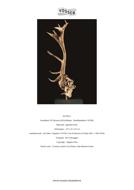



Jan Fabre :

Hoofdstuk XVI (brons) (2010) (Reeks : Hoofdstukken I-XVIII)

Materiaal : gepolijst brons

Afmetingen : 127 x 22 x 67 cm

Installatiezicht : Jan Fabre. Chapitres I-XVIII. Cires & Bronzes (14 Maa 2010 - 2 Mei 2010)

Fotograaf : Pat Verbruggen

Copyright : Angelos bvba

Notitie werk : Courtesy Galerie Guy Pieters, Sint-Martens-Latem